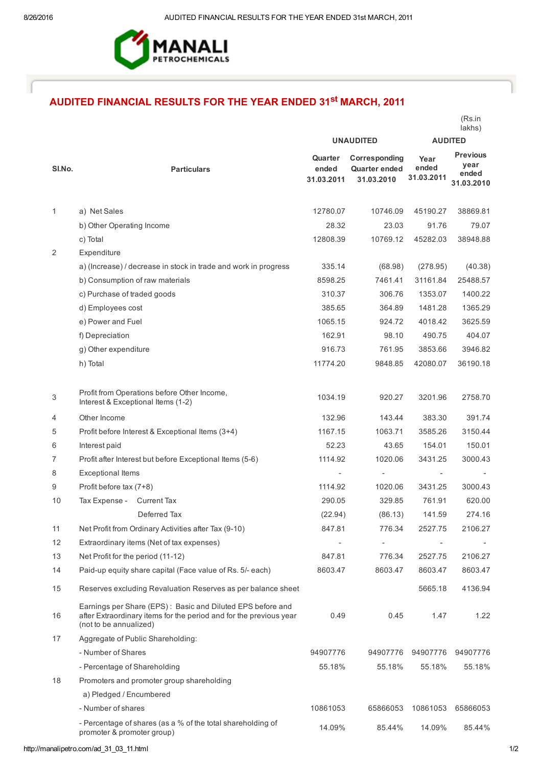

## AUDITED FINANCIAL RESULTS FOR THE YEAR ENDED 31<sup>st</sup> MARCH, 2011

|        |                                                                                                                                                            |                                |                                                     |                             | lakhs)                                         |
|--------|------------------------------------------------------------------------------------------------------------------------------------------------------------|--------------------------------|-----------------------------------------------------|-----------------------------|------------------------------------------------|
|        |                                                                                                                                                            | <b>UNAUDITED</b>               |                                                     | <b>AUDITED</b>              |                                                |
| SI.No. | <b>Particulars</b>                                                                                                                                         | Quarter<br>ended<br>31.03.2011 | Corresponding<br><b>Quarter ended</b><br>31.03.2010 | Year<br>ended<br>31.03.2011 | <b>Previous</b><br>year<br>ended<br>31.03.2010 |
| 1      | a) Net Sales                                                                                                                                               | 12780.07                       | 10746.09                                            | 45190.27                    | 38869.81                                       |
|        | b) Other Operating Income                                                                                                                                  | 28.32                          | 23.03                                               | 91.76                       | 79.07                                          |
|        | c) Total                                                                                                                                                   | 12808.39                       | 10769.12                                            | 45282.03                    | 38948.88                                       |
| 2      | Expenditure                                                                                                                                                |                                |                                                     |                             |                                                |
|        | a) (Increase) / decrease in stock in trade and work in progress                                                                                            | 335.14                         | (68.98)                                             | (278.95)                    | (40.38)                                        |
|        | b) Consumption of raw materials                                                                                                                            | 8598.25                        | 7461.41                                             | 31161.84                    | 25488.57                                       |
|        | c) Purchase of traded goods                                                                                                                                | 310.37                         | 306.76                                              | 1353.07                     | 1400.22                                        |
|        | d) Employees cost                                                                                                                                          | 385.65                         | 364.89                                              | 1481.28                     | 1365.29                                        |
|        | e) Power and Fuel                                                                                                                                          | 1065.15                        | 924.72                                              | 4018.42                     | 3625.59                                        |
|        | f) Depreciation                                                                                                                                            | 162.91                         | 98.10                                               | 490.75                      | 404.07                                         |
|        | g) Other expenditure                                                                                                                                       | 916.73                         | 761.95                                              | 3853.66                     | 3946.82                                        |
|        | h) Total                                                                                                                                                   | 11774.20                       | 9848.85                                             | 42080.07                    | 36190.18                                       |
|        |                                                                                                                                                            |                                |                                                     |                             |                                                |
| 3      | Profit from Operations before Other Income,<br>Interest & Exceptional Items (1-2)                                                                          | 1034.19                        | 920.27                                              | 3201.96                     | 2758.70                                        |
| 4      | Other Income                                                                                                                                               | 132.96                         | 143.44                                              | 383.30                      | 391.74                                         |
| 5      | Profit before Interest & Exceptional Items (3+4)                                                                                                           | 1167.15                        | 1063.71                                             | 3585.26                     | 3150.44                                        |
| 6      | Interest paid                                                                                                                                              | 52.23                          | 43.65                                               | 154.01                      | 150.01                                         |
| 7      | Profit after Interest but before Exceptional Items (5-6)                                                                                                   | 1114.92                        | 1020.06                                             | 3431.25                     | 3000.43                                        |
| 8      | <b>Exceptional Items</b>                                                                                                                                   | $\overline{\phantom{a}}$       |                                                     | $\overline{\phantom{a}}$    |                                                |
| 9      | Profit before tax (7+8)                                                                                                                                    | 1114.92                        | 1020.06                                             | 3431.25                     | 3000.43                                        |
| 10     | Tax Expense -<br><b>Current Tax</b>                                                                                                                        | 290.05                         | 329.85                                              | 761.91                      | 620.00                                         |
|        | Deferred Tax                                                                                                                                               | (22.94)                        | (86.13)                                             | 141.59                      | 274.16                                         |
| 11     | Net Profit from Ordinary Activities after Tax (9-10)                                                                                                       | 847.81                         | 776.34                                              | 2527.75                     | 2106.27                                        |
| 12     | Extraordinary items (Net of tax expenses)                                                                                                                  | $\blacksquare$                 |                                                     |                             |                                                |
| 13     | Net Profit for the period (11-12)                                                                                                                          | 847.81                         | 776.34                                              | 2527.75                     | 2106.27                                        |
| 14     | Paid-up equity share capital (Face value of Rs. 5/- each)                                                                                                  | 8603.47                        | 8603.47                                             | 8603.47                     | 8603.47                                        |
| 15     | Reserves excluding Revaluation Reserves as per balance sheet                                                                                               |                                |                                                     | 5665.18                     | 4136.94                                        |
| 16     | Earnings per Share (EPS): Basic and Diluted EPS before and<br>after Extraordinary items for the period and for the previous year<br>(not to be annualized) | 0.49                           | 0.45                                                | 1.47                        | 1.22                                           |
| 17     | Aggregate of Public Shareholding:                                                                                                                          |                                |                                                     |                             |                                                |
|        | - Number of Shares                                                                                                                                         | 94907776                       | 94907776                                            | 94907776                    | 94907776                                       |
|        | - Percentage of Shareholding                                                                                                                               | 55.18%                         | 55.18%                                              | 55.18%                      | 55.18%                                         |
| 18     | Promoters and promoter group shareholding                                                                                                                  |                                |                                                     |                             |                                                |
|        | a) Pledged / Encumbered                                                                                                                                    |                                |                                                     |                             |                                                |
|        | - Number of shares                                                                                                                                         | 10861053                       | 65866053                                            | 10861053                    | 65866053                                       |
|        | - Percentage of shares (as a % of the total shareholding of<br>promoter & promoter group)                                                                  | 14.09%                         | 85.44%                                              | 14.09%                      | 85.44%                                         |

(Rs.in